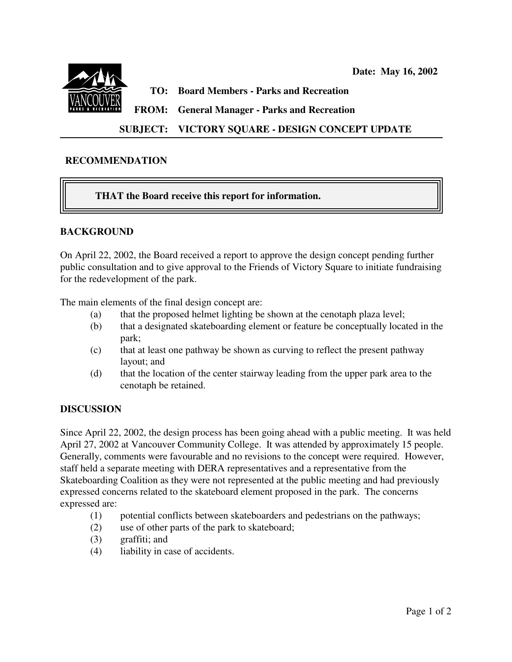

**TO: Board Members - Parks and Recreation**

**FROM: General Manager - Parks and Recreation**

# **SUBJECT: VICTORY SQUARE - DESIGN CONCEPT UPDATE**

### **RECOMMENDATION**

## **THAT the Board receive this report for information.**

### **BACKGROUND**

On April 22, 2002, the Board received a report to approve the design concept pending further public consultation and to give approval to the Friends of Victory Square to initiate fundraising for the redevelopment of the park.

The main elements of the final design concept are:

- (a) that the proposed helmet lighting be shown at the cenotaph plaza level;
- (b) that a designated skateboarding element or feature be conceptually located in the park;
- (c) that at least one pathway be shown as curving to reflect the present pathway layout; and
- (d) that the location of the center stairway leading from the upper park area to the cenotaph be retained.

### **DISCUSSION**

Since April 22, 2002, the design process has been going ahead with a public meeting. It was held April 27, 2002 at Vancouver Community College. It was attended by approximately 15 people. Generally, comments were favourable and no revisions to the concept were required. However, staff held a separate meeting with DERA representatives and a representative from the Skateboarding Coalition as they were not represented at the public meeting and had previously expressed concerns related to the skateboard element proposed in the park. The concerns expressed are:

- (1) potential conflicts between skateboarders and pedestrians on the pathways;
- (2) use of other parts of the park to skateboard;
- (3) graffiti; and
- (4) liability in case of accidents.